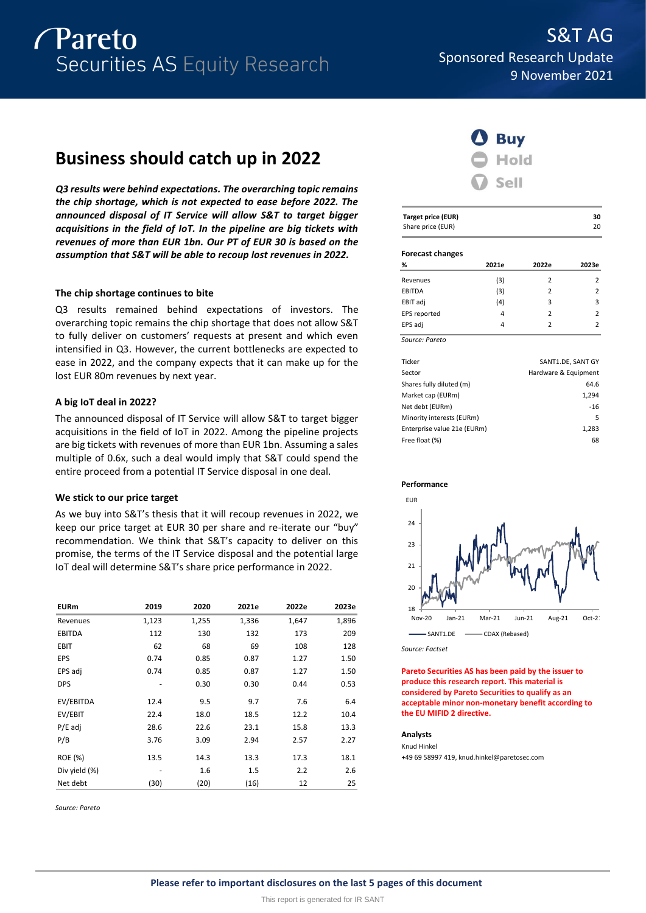

# **Business should catch up in 2022**

*Q3 results were behind expectations. The overarching topic remains the chip shortage, which is not expected to ease before 2022. The announced disposal of IT Service will allow S&T to target bigger acquisitions in the field of IoT. In the pipeline are big tickets with revenues of more than EUR 1bn. Our PT of EUR 30 is based on the assumption that S&T will be able to recoup lost revenues in 2022.*

### **The chip shortage continues to bite**

Q3 results remained behind expectations of investors. The overarching topic remains the chip shortage that does not allow S&T to fully deliver on customers' requests at present and which even intensified in Q3. However, the current bottlenecks are expected to ease in 2022, and the company expects that it can make up for the lost EUR 80m revenues by next year.

### **A big IoT deal in 2022?**

The announced disposal of IT Service will allow S&T to target bigger acquisitions in the field of IoT in 2022. Among the pipeline projects are big tickets with revenues of more than EUR 1bn. Assuming a sales multiple of 0.6x, such a deal would imply that S&T could spend the entire proceed from a potential IT Service disposal in one deal.

### **We stick to our price target**

As we buy into S&T's thesis that it will recoup revenues in 2022, we keep our price target at EUR 30 per share and re-iterate our "buy" recommendation. We think that S&T's capacity to deliver on this promise, the terms of the IT Service disposal and the potential large IoT deal will determine S&T's share price performance in 2022.

| <b>EURm</b>   | 2019  | 2020  | 2021e | 2022e | 2023e |
|---------------|-------|-------|-------|-------|-------|
| Revenues      | 1,123 | 1,255 | 1,336 | 1,647 | 1,896 |
| <b>EBITDA</b> | 112   | 130   | 132   | 173   | 209   |
| <b>EBIT</b>   | 62    | 68    | 69    | 108   | 128   |
| EPS           | 0.74  | 0.85  | 0.87  | 1.27  | 1.50  |
| EPS adj       | 0.74  | 0.85  | 0.87  | 1.27  | 1.50  |
| <b>DPS</b>    |       | 0.30  | 0.30  | 0.44  | 0.53  |
| EV/EBITDA     | 12.4  | 9.5   | 9.7   | 7.6   | 6.4   |
| EV/EBIT       | 22.4  | 18.0  | 18.5  | 12.2  | 10.4  |
| $P/E$ adj     | 28.6  | 22.6  | 23.1  | 15.8  | 13.3  |
| P/B           | 3.76  | 3.09  | 2.94  | 2.57  | 2.27  |
| ROE (%)       | 13.5  | 14.3  | 13.3  | 17.3  | 18.1  |
| Div yield (%) |       | 1.6   | 1.5   | 2.2   | 2.6   |
| Net debt      | (30)  | (20)  | (16)  | 12    | 25    |

*Source: Pareto*



| <b>Target price (EUR)</b><br>Share price (EUR) |       |       | 30<br>20       |
|------------------------------------------------|-------|-------|----------------|
|                                                |       |       |                |
| <b>Forecast changes</b>                        |       |       |                |
| ℅                                              | 2021e | 2022e | 2023e          |
| Revenues                                       | (3)   | 2     | 2              |
| <b>EBITDA</b>                                  | (3)   | 2     | $\overline{2}$ |
| EBIT adj                                       | (4)   | 3     | 3              |
| EPS reported                                   | 4     | 2     | $\overline{2}$ |
| EPS adj                                        | 4     | 2     | 2              |

| Ticker                      | SANT1.DE, SANT GY    |
|-----------------------------|----------------------|
| Sector                      | Hardware & Equipment |
| Shares fully diluted (m)    | 64.6                 |
| Market cap (EURm)           | 1,294                |
| Net debt (EURm)             | $-16$                |
| Minority interests (EURm)   | 5                    |
| Enterprise value 21e (EURm) | 1,283                |
| Free float (%)              | 68                   |
|                             |                      |



*Source: Factset*

**Pareto Securities AS has been paid by the issuer to produce this research report. This material is considered by Pareto Securities to qualify as an acceptable minor non-monetary benefit according to the EU MIFID 2 directive.**

### **Analysts**

Knud Hinkel +49 69 58997 419, knud.hinkel@paretosec.com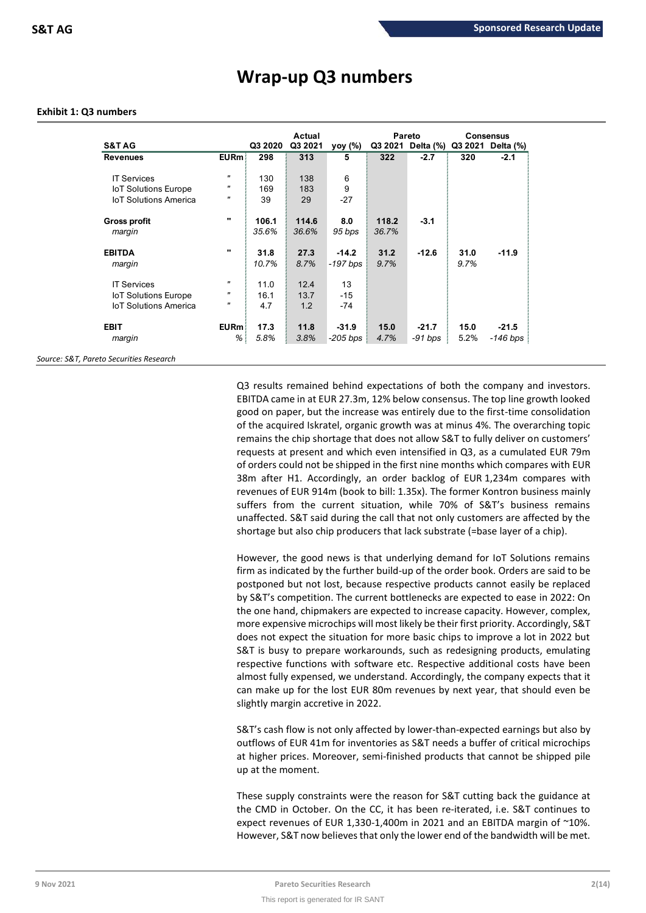|                              |                   |         | <b>Actual</b> |            |       | Pareto            |      | <b>Consensus</b>  |
|------------------------------|-------------------|---------|---------------|------------|-------|-------------------|------|-------------------|
| <b>S&amp;T AG</b>            |                   | Q3 2020 | Q3 2021       | yoy (%)    |       | Q3 2021 Delta (%) |      | Q3 2021 Delta (%) |
| <b>Revenues</b>              | <b>EURm</b>       | 298     | 313           | 5          | 322   | $-2.7$            | 320  | $-2.1$            |
| <b>IT Services</b>           | $\mathbf{H}$      | 130     | 138           | 6          |       |                   |      |                   |
| <b>IoT Solutions Europe</b>  | "                 | 169     | 183           | 9          |       |                   |      |                   |
| <b>IoT Solutions America</b> | "                 | 39      | 29            | $-27$      |       |                   |      |                   |
| <b>Gross profit</b>          |                   | 106.1   | 114.6         | 8.0        | 118.2 | $-3.1$            |      |                   |
| margin                       |                   | 35.6%   | 36.6%         | 95 bps     | 36.7% |                   |      |                   |
| <b>EBITDA</b>                | $\mathbf{u}$      | 31.8    | 27.3          | $-14.2$    | 31.2  | $-12.6$           | 31.0 | $-11.9$           |
| margin                       |                   | 10.7%   | 8.7%          | $-197$ bps | 9.7%  |                   | 9.7% |                   |
| <b>IT Services</b>           | $\mathbf{H}$      | 11.0    | 12.4          | 13         |       |                   |      |                   |
| <b>IoT Solutions Europe</b>  | $\mathbf{u}$      | 16.1    | 13.7          | $-15$      |       |                   |      |                   |
| <b>IoT Solutions America</b> | $^{\prime\prime}$ | 4.7     | 1.2           | -74        |       |                   |      |                   |
| <b>EBIT</b>                  | <b>EURm</b>       | 17.3    | 11.8          | $-31.9$    | 15.0  | $-21.7$           | 15.0 | $-21.5$           |
| margin                       | %                 | 5.8%    | 3.8%          | -205 bps   | 4.7%  | -91 bps           | 5.2% | -146 bps          |

## **Wrap-up Q3 numbers**

### **Exhibit 1: Q3 numbers**

*Source: S&T, Pareto Securities Research*

Q3 results remained behind expectations of both the company and investors. EBITDA came in at EUR 27.3m, 12% below consensus. The top line growth looked good on paper, but the increase was entirely due to the first-time consolidation of the acquired Iskratel, organic growth was at minus 4%. The overarching topic remains the chip shortage that does not allow S&T to fully deliver on customers' requests at present and which even intensified in Q3, as a cumulated EUR 79m of orders could not be shipped in the first nine months which compares with EUR 38m after H1. Accordingly, an order backlog of EUR 1,234m compares with revenues of EUR 914m (book to bill: 1.35x). The former Kontron business mainly suffers from the current situation, while 70% of S&T's business remains unaffected. S&T said during the call that not only customers are affected by the shortage but also chip producers that lack substrate (=base layer of a chip).

However, the good news is that underlying demand for IoT Solutions remains firm as indicated by the further build-up of the order book. Orders are said to be postponed but not lost, because respective products cannot easily be replaced by S&T's competition. The current bottlenecks are expected to ease in 2022: On the one hand, chipmakers are expected to increase capacity. However, complex, more expensive microchips will most likely be their first priority. Accordingly, S&T does not expect the situation for more basic chips to improve a lot in 2022 but S&T is busy to prepare workarounds, such as redesigning products, emulating respective functions with software etc. Respective additional costs have been almost fully expensed, we understand. Accordingly, the company expects that it can make up for the lost EUR 80m revenues by next year, that should even be slightly margin accretive in 2022.

S&T's cash flow is not only affected by lower-than-expected earnings but also by outflows of EUR 41m for inventories as S&T needs a buffer of critical microchips at higher prices. Moreover, semi-finished products that cannot be shipped pile up at the moment.

These supply constraints were the reason for S&T cutting back the guidance at the CMD in October. On the CC, it has been re-iterated, i.e. S&T continues to expect revenues of EUR 1,330-1,400m in 2021 and an EBITDA margin of ~10%. However, S&T now believes that only the lower end of the bandwidth will be met.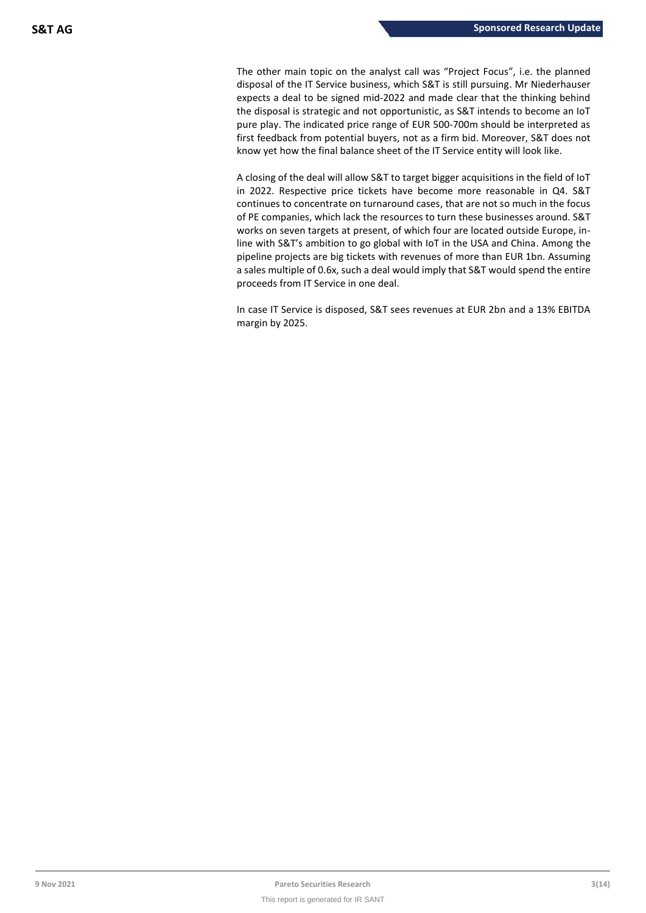The other main topic on the analyst call was "Project Focus", i.e. the planned disposal of the IT Service business, which S&T is still pursuing. Mr Niederhauser expects a deal to be signed mid-2022 and made clear that the thinking behind the disposal is strategic and not opportunistic, as S&T intends to become an IoT pure play. The indicated price range of EUR 500-700m should be interpreted as first feedback from potential buyers, not as a firm bid. Moreover, S&T does not know yet how the final balance sheet of the IT Service entity will look like.

A closing of the deal will allow S&T to target bigger acquisitions in the field of IoT in 2022. Respective price tickets have become more reasonable in Q4. S&T continues to concentrate on turnaround cases, that are not so much in the focus of PE companies, which lack the resources to turn these businesses around. S&T works on seven targets at present, of which four are located outside Europe, inline with S&T's ambition to go global with IoT in the USA and China. Among the pipeline projects are big tickets with revenues of more than EUR 1bn. Assuming a sales multiple of 0.6x, such a deal would imply that S&T would spend the entire proceeds from IT Service in one deal.

In case IT Service is disposed, S&T sees revenues at EUR 2bn and a 13% EBITDA margin by 2025.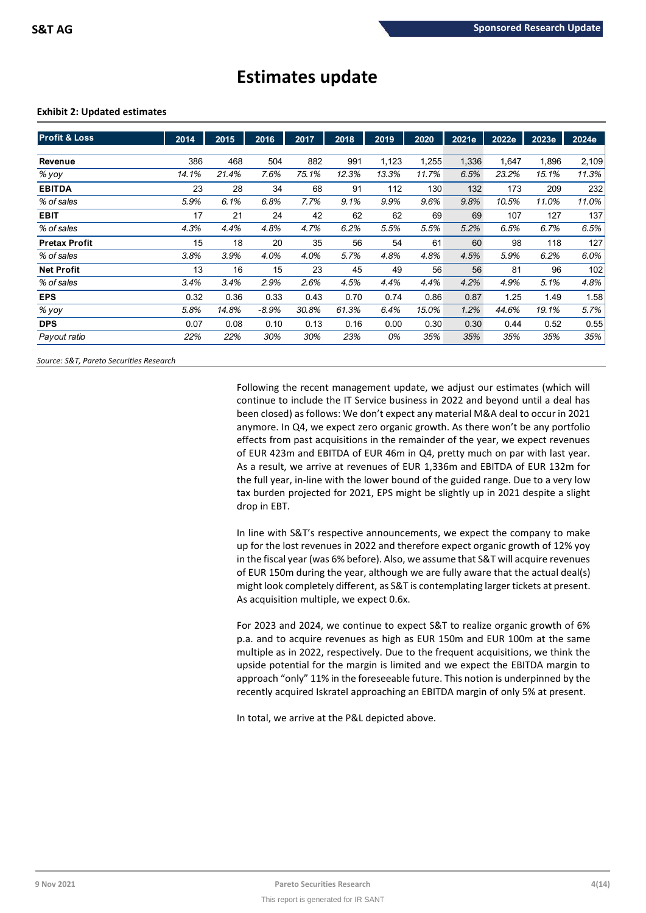# **Estimates update**

### **Exhibit 2: Updated estimates**

| <b>Profit &amp; Loss</b> | 2014  | 2015  | 2016    | 2017  | 2018  | 2019  | 2020  | 2021e | 2022e | 2023e | 2024e |
|--------------------------|-------|-------|---------|-------|-------|-------|-------|-------|-------|-------|-------|
|                          |       |       |         |       |       |       |       |       |       |       |       |
| Revenue                  | 386   | 468   | 504     | 882   | 991   | 1,123 | 1,255 | 1,336 | 1.647 | 1,896 | 2,109 |
| % yoy                    | 14.1% | 21.4% | 7.6%    | 75.1% | 12.3% | 13.3% | 11.7% | 6.5%  | 23.2% | 15.1% | 11.3% |
| <b>EBITDA</b>            | 23    | 28    | 34      | 68    | 91    | 112   | 130   | 132   | 173   | 209   | 232   |
| % of sales               | 5.9%  | 6.1%  | 6.8%    | 7.7%  | 9.1%  | 9.9%  | 9.6%  | 9.8%  | 10.5% | 11.0% | 11.0% |
| <b>EBIT</b>              | 17    | 21    | 24      | 42    | 62    | 62    | 69    | 69    | 107   | 127   | 137   |
| % of sales               | 4.3%  | 4.4%  | 4.8%    | 4.7%  | 6.2%  | 5.5%  | 5.5%  | 5.2%  | 6.5%  | 6.7%  | 6.5%  |
| <b>Pretax Profit</b>     | 15    | 18    | 20      | 35    | 56    | 54    | 61    | 60    | 98    | 118   | 127   |
| % of sales               | 3.8%  | 3.9%  | 4.0%    | 4.0%  | 5.7%  | 4.8%  | 4.8%  | 4.5%  | 5.9%  | 6.2%  | 6.0%  |
| <b>Net Profit</b>        | 13    | 16    | 15      | 23    | 45    | 49    | 56    | 56    | 81    | 96    | 102   |
| % of sales               | 3.4%  | 3.4%  | 2.9%    | 2.6%  | 4.5%  | 4.4%  | 4.4%  | 4.2%  | 4.9%  | 5.1%  | 4.8%  |
| <b>EPS</b>               | 0.32  | 0.36  | 0.33    | 0.43  | 0.70  | 0.74  | 0.86  | 0.87  | 1.25  | 1.49  | 1.58  |
| % yoy                    | 5.8%  | 14.8% | $-8.9%$ | 30.8% | 61.3% | 6.4%  | 15.0% | 1.2%  | 44.6% | 19.1% | 5.7%  |
| <b>DPS</b>               | 0.07  | 0.08  | 0.10    | 0.13  | 0.16  | 0.00  | 0.30  | 0.30  | 0.44  | 0.52  | 0.55  |
| Payout ratio             | 22%   | 22%   | 30%     | 30%   | 23%   | 0%    | 35%   | 35%   | 35%   | 35%   | 35%   |

*Source: S&T, Pareto Securities Research*

Following the recent management update, we adjust our estimates (which will continue to include the IT Service business in 2022 and beyond until a deal has been closed) as follows: We don't expect any material M&A deal to occur in 2021 anymore. In Q4, we expect zero organic growth. As there won't be any portfolio effects from past acquisitions in the remainder of the year, we expect revenues of EUR 423m and EBITDA of EUR 46m in Q4, pretty much on par with last year. As a result, we arrive at revenues of EUR 1,336m and EBITDA of EUR 132m for the full year, in-line with the lower bound of the guided range. Due to a very low tax burden projected for 2021, EPS might be slightly up in 2021 despite a slight drop in EBT.

In line with S&T's respective announcements, we expect the company to make up for the lost revenues in 2022 and therefore expect organic growth of 12% yoy in the fiscal year (was 6% before). Also, we assume that S&T will acquire revenues of EUR 150m during the year, although we are fully aware that the actual deal(s) might look completely different, as S&T is contemplating larger tickets at present. As acquisition multiple, we expect 0.6x.

For 2023 and 2024, we continue to expect S&T to realize organic growth of 6% p.a. and to acquire revenues as high as EUR 150m and EUR 100m at the same multiple as in 2022, respectively. Due to the frequent acquisitions, we think the upside potential for the margin is limited and we expect the EBITDA margin to approach "only" 11% in the foreseeable future. This notion is underpinned by the recently acquired Iskratel approaching an EBITDA margin of only 5% at present.

In total, we arrive at the P&L depicted above.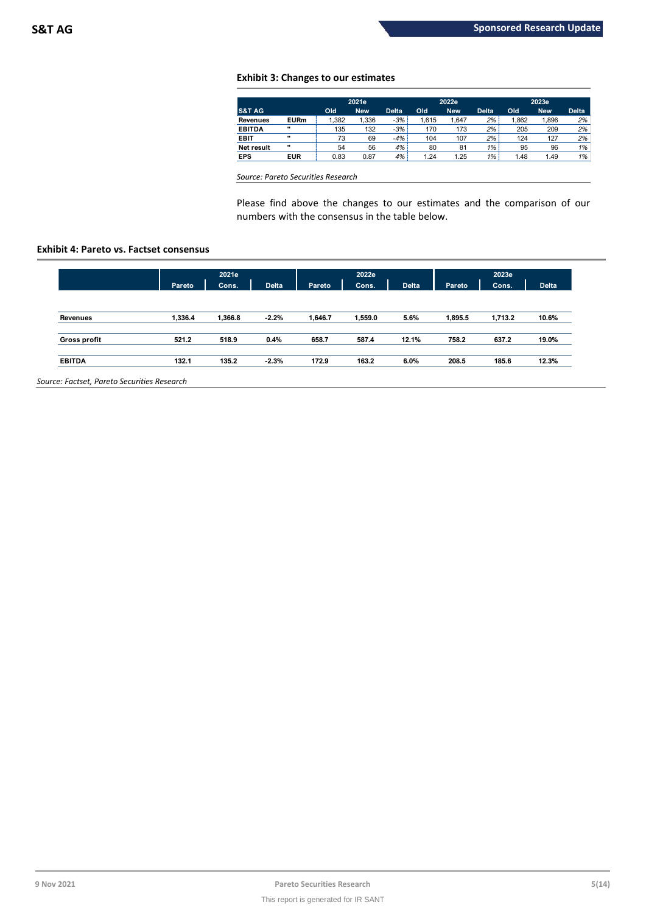### **Exhibit 3: Changes to our estimates**

|                   |              | 2021e |            |              |       | 2022e      |              |       | 2023e      |              |  |
|-------------------|--------------|-------|------------|--------------|-------|------------|--------------|-------|------------|--------------|--|
| <b>S&amp;T AG</b> |              | Old   | <b>New</b> | <b>Delta</b> | Old   | <b>New</b> | <b>Delta</b> | Old   | <b>New</b> | <b>Delta</b> |  |
| Revenues          | <b>EURm</b>  | .382  | 1,336      | $-3%$        | 1.615 | .647       | 2%           | 1,862 | 1,896      | 2%           |  |
| <b>EBITDA</b>     |              | 135   | 132        | $-3%$        | 170   | 173        | 2%           | 205   | 209        | 2%           |  |
| <b>EBIT</b>       |              | 73    | 69         | $-4%$        | 104   | 107        | 2%           | 124   | 127        | 2%           |  |
| <b>Net result</b> | $\mathbf{u}$ | 54    | 56         | 4%           | 80    | 81         | $1\%$        | 95    | 96         | 1%           |  |
| <b>EPS</b>        | <b>EUR</b>   | 0.83  | 0.87       | 4%           | 1.24  | 1.25       | $1\%$        | 1.48  | 1.49       | 1%           |  |

*Source: Pareto Securities Research*

Please find above the changes to our estimates and the comparison of our numbers with the consensus in the table below.

### **Exhibit 4: Pareto vs. Factset consensus**

|                     |         | 2021e   |              |         | 2022e   |              |         | 2023e   |              |  |
|---------------------|---------|---------|--------------|---------|---------|--------------|---------|---------|--------------|--|
|                     | Pareto  | Cons.   | <b>Delta</b> | Pareto  | Cons.   | <b>Delta</b> | Pareto  | Cons.   | <b>Delta</b> |  |
| Revenues            | 1,336.4 | 1,366.8 | $-2.2%$      | 1,646.7 | 1,559.0 | 5.6%         | 1,895.5 | 1,713.2 | 10.6%        |  |
| <b>Gross profit</b> | 521.2   | 518.9   | 0.4%         | 658.7   | 587.4   | 12.1%        | 758.2   | 637.2   | 19.0%        |  |
| <b>EBITDA</b>       | 132.1   | 135.2   | $-2.3%$      | 172.9   | 163.2   | 6.0%         | 208.5   | 185.6   | 12.3%        |  |

*Source: Factset, Pareto Securities Research*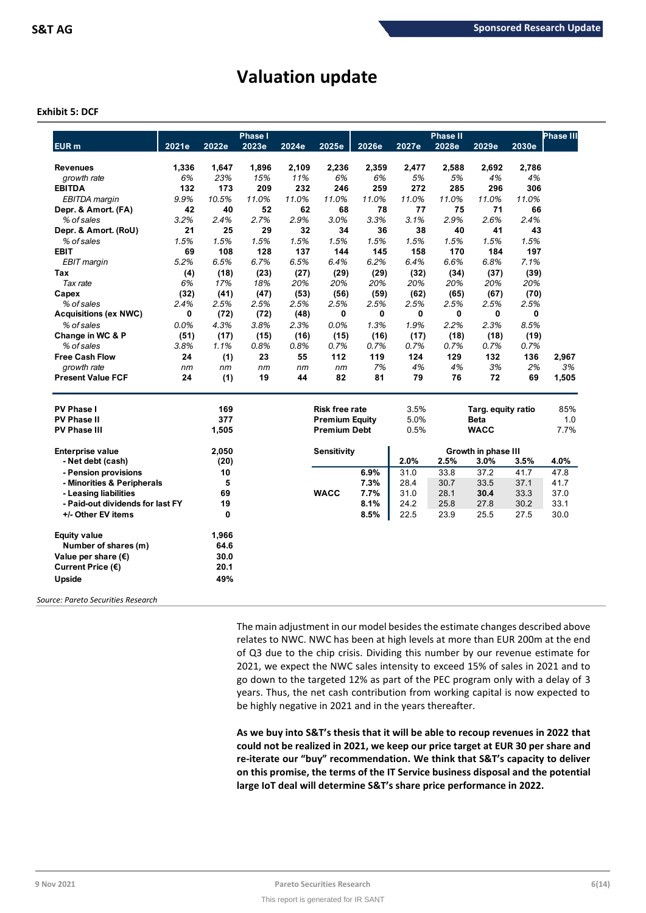# **Valuation update**

### **Exhibit 5: DCF**

|                                  |       |       | <b>Phase I</b> |       |                       |       |       | Phase II |                     |       | Phase III |
|----------------------------------|-------|-------|----------------|-------|-----------------------|-------|-------|----------|---------------------|-------|-----------|
| <b>EUR</b> m                     | 2021e | 2022e | 2023e          | 2024e | 2025e                 | 2026e | 2027e | 2028e    | 2029e               | 2030e |           |
| <b>Revenues</b>                  | 1,336 | 1,647 | 1,896          | 2,109 | 2,236                 | 2,359 | 2,477 | 2,588    | 2,692               | 2,786 |           |
| growth rate                      | 6%    | 23%   | 15%            | 11%   | 6%                    | 6%    | 5%    | 5%       | 4%                  | 4%    |           |
| <b>EBITDA</b>                    | 132   | 173   | 209            | 232   | 246                   | 259   | 272   | 285      | 296                 | 306   |           |
| EBITDA margin                    | 9.9%  | 10.5% | 11.0%          | 11.0% | 11.0%                 | 11.0% | 11.0% | 11.0%    | 11.0%               | 11.0% |           |
| Depr. & Amort. (FA)              | 42    | 40    | 52             | 62    | 68                    | 78    | 77    | 75       | 71                  | 66    |           |
| % of sales                       | 3.2%  | 2.4%  | 2.7%           | 2.9%  | 3.0%                  | 3.3%  | 3.1%  | 2.9%     | 2.6%                | 2.4%  |           |
| Depr. & Amort. (RoU)             | 21    | 25    | 29             | 32    | 34                    | 36    | 38    | 40       | 41                  | 43    |           |
| % of sales                       | 1.5%  | 1.5%  | 1.5%           | 1.5%  | 1.5%                  | 1.5%  | 1.5%  | 1.5%     | 1.5%                | 1.5%  |           |
| <b>EBIT</b>                      | 69    | 108   | 128            | 137   | 144                   | 145   | 158   | 170      | 184                 | 197   |           |
| <b>EBIT</b> margin               | 5.2%  | 6.5%  | 6.7%           | 6.5%  | 6.4%                  | 6.2%  | 6.4%  | 6.6%     | 6.8%                | 7.1%  |           |
| Tax                              | (4)   | (18)  | (23)           | (27)  | (29)                  | (29)  | (32)  | (34)     | (37)                | (39)  |           |
| Tax rate                         | 6%    | 17%   | 18%            | 20%   | 20%                   | 20%   | 20%   | 20%      | 20%                 | 20%   |           |
| Capex                            | (32)  | (41)  | (47)           | (53)  | (56)                  | (59)  | (62)  | (65)     | (67)                | (70)  |           |
| % of sales                       | 2.4%  | 2.5%  | 2.5%           | 2.5%  | 2.5%                  | 2.5%  | 2.5%  | 2.5%     | 2.5%                | 2.5%  |           |
| <b>Acquisitions (ex NWC)</b>     | 0     | (72)  | (72)           | (48)  | 0                     | 0     | 0     | 0        | 0                   | 0     |           |
| % of sales                       | 0.0%  | 4.3%  | 3.8%           | 2.3%  | 0.0%                  | 1.3%  | 1.9%  | 2.2%     | 2.3%                | 8.5%  |           |
| Change in WC & P                 | (51)  | (17)  | (15)           | (16)  | (15)                  | (16)  | (17)  | (18)     | (18)                | (19)  |           |
| % of sales                       | 3.8%  | 1.1%  | 0.8%           | 0.8%  | 0.7%                  | 0.7%  | 0.7%  | 0.7%     | 0.7%                | 0.7%  |           |
| <b>Free Cash Flow</b>            | 24    | (1)   | 23             | 55    | 112                   | 119   | 124   | 129      | 132                 | 136   | 2,967     |
| growth rate                      | nm    | nm    | nm             | nm    | nm                    | 7%    | 4%    | 4%       | 3%                  | 2%    | 3%        |
| <b>Present Value FCF</b>         | 24    | (1)   | 19             | 44    | 82                    | 81    | 79    | 76       | 72                  | 69    | 1,505     |
| PV Phase I                       |       | 169   |                |       | <b>Risk free rate</b> |       | 3.5%  |          | Targ. equity ratio  |       | 85%       |
| <b>PV Phase II</b>               |       | 377   |                |       | <b>Premium Equity</b> |       | 5.0%  |          | <b>Beta</b>         |       | 1.0       |
| <b>PV Phase III</b>              |       | 1,505 |                |       | <b>Premium Debt</b>   |       | 0.5%  |          | <b>WACC</b>         |       | 7.7%      |
| <b>Enterprise value</b>          |       | 2,050 |                |       | <b>Sensitivity</b>    |       |       |          | Growth in phase III |       |           |
| - Net debt (cash)                |       | (20)  |                |       |                       |       | 2.0%  | 2.5%     | 3.0%                | 3.5%  | 4.0%      |
| - Pension provisions             |       | 10    |                |       |                       | 6.9%  | 31.0  | 33.8     | 37.2                | 41.7  | 47.8      |
| - Minorities & Peripherals       |       | 5     |                |       |                       | 7.3%  | 28.4  | 30.7     | 33.5                | 37.1  | 41.7      |
| - Leasing liabilities            |       | 69    |                |       | <b>WACC</b>           | 7.7%  | 31.0  | 28.1     | 30.4                | 33.3  | 37.0      |
| - Paid-out dividends for last FY |       | 19    |                |       |                       | 8.1%  | 24.2  | 25.8     | 27.8                | 30.2  | 33.1      |
| +/- Other EV items               |       | 0     |                |       |                       | 8.5%  | 22.5  | 23.9     | 25.5                | 27.5  | 30.0      |
| <b>Equity value</b>              |       | 1,966 |                |       |                       |       |       |          |                     |       |           |
| Number of shares (m)             |       | 64.6  |                |       |                       |       |       |          |                     |       |           |
| Value per share $(\epsilon)$     |       | 30.0  |                |       |                       |       |       |          |                     |       |           |
| Current Price (€)                |       | 20.1  |                |       |                       |       |       |          |                     |       |           |
| Upside                           |       | 49%   |                |       |                       |       |       |          |                     |       |           |
|                                  |       |       |                |       |                       |       |       |          |                     |       |           |

*Source: Pareto Securities Research*

The main adjustment in our model besides the estimate changes described above relates to NWC. NWC has been at high levels at more than EUR 200m at the end of Q3 due to the chip crisis. Dividing this number by our revenue estimate for 2021, we expect the NWC sales intensity to exceed 15% of sales in 2021 and to go down to the targeted 12% as part of the PEC program only with a delay of 3 years. Thus, the net cash contribution from working capital is now expected to be highly negative in 2021 and in the years thereafter.

**As we buy into S&T's thesis that it will be able to recoup revenues in 2022 that could not be realized in 2021, we keep our price target at EUR 30 per share and re-iterate our "buy" recommendation. We think that S&T's capacity to deliver on this promise, the terms of the IT Service business disposal and the potential large IoT deal will determine S&T's share price performance in 2022.**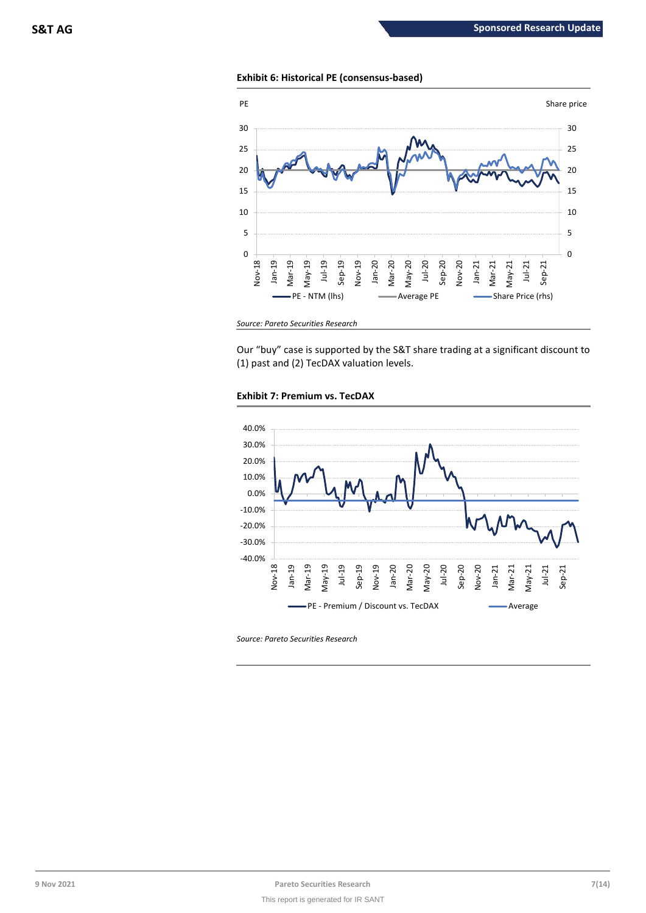### **Exhibit 6: Historical PE (consensus-based)**



*Source: Pareto Securities Research*

Our "buy" case is supported by the S&T share trading at a significant discount to (1) past and (2) TecDAX valuation levels.





*Source: Pareto Securities Research*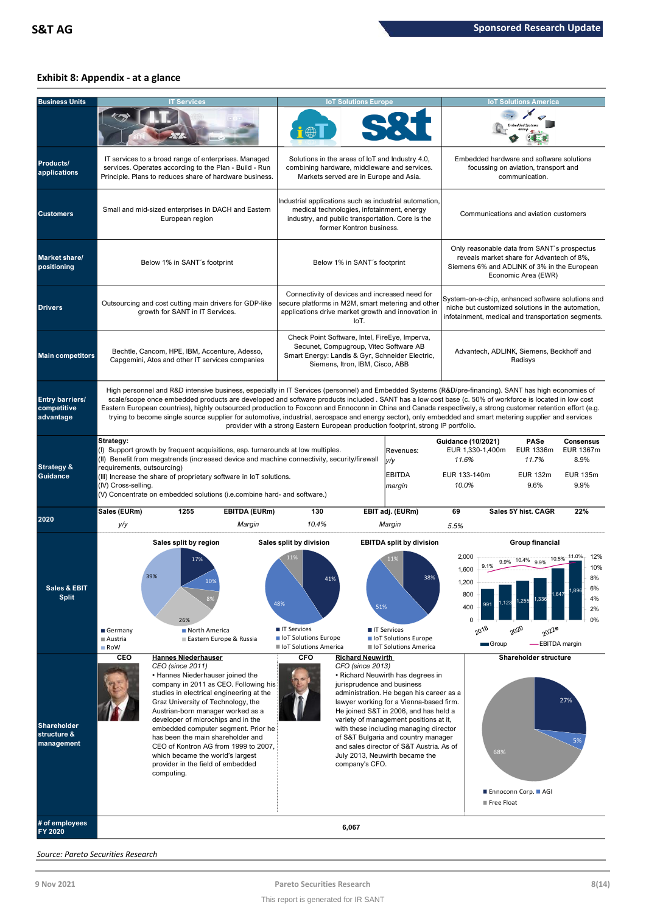### **Exhibit 8: Appendix - at a glance**

| <b>Business Units</b>                           |                                                                | <b>IT Services</b>                                                                                                                                                                                                                                                                                                                                                                                                                                                                                                                                                                                                                         |                                                                                                         | <b>IoT Solutions Europe</b>                                                                                                                                                    |                                                                                                                                                                                                                                                                                                                                                                            |                                                                                 |                                                 | <b>IoT Solutions America</b>                                                                                                                                   |                                                                  |  |
|-------------------------------------------------|----------------------------------------------------------------|--------------------------------------------------------------------------------------------------------------------------------------------------------------------------------------------------------------------------------------------------------------------------------------------------------------------------------------------------------------------------------------------------------------------------------------------------------------------------------------------------------------------------------------------------------------------------------------------------------------------------------------------|---------------------------------------------------------------------------------------------------------|--------------------------------------------------------------------------------------------------------------------------------------------------------------------------------|----------------------------------------------------------------------------------------------------------------------------------------------------------------------------------------------------------------------------------------------------------------------------------------------------------------------------------------------------------------------------|---------------------------------------------------------------------------------|-------------------------------------------------|----------------------------------------------------------------------------------------------------------------------------------------------------------------|------------------------------------------------------------------|--|
| Products/<br>applications                       |                                                                | IT services to a broad range of enterprises. Managed<br>services. Operates according to the Plan - Build - Run<br>Principle. Plans to reduces share of hardware business.                                                                                                                                                                                                                                                                                                                                                                                                                                                                  |                                                                                                         | Solutions in the areas of loT and Industry 4.0,<br>combining hardware, middleware and services.<br>Markets served are in Europe and Asia.                                      |                                                                                                                                                                                                                                                                                                                                                                            |                                                                                 |                                                 | Embedded hardware and software solutions<br>focussing on aviation, transport and<br>communication.                                                             |                                                                  |  |
| <b>Customers</b>                                |                                                                | Small and mid-sized enterprises in DACH and Eastern<br>European region                                                                                                                                                                                                                                                                                                                                                                                                                                                                                                                                                                     |                                                                                                         | medical technologies, infotainment, energy<br>industry, and public transportation. Core is the<br>former Kontron business.                                                     | Industrial applications such as industrial automation,                                                                                                                                                                                                                                                                                                                     |                                                                                 |                                                 | Communications and aviation customers                                                                                                                          |                                                                  |  |
| <b>Market share/</b><br>positioning             |                                                                | Below 1% in SANT's footprint                                                                                                                                                                                                                                                                                                                                                                                                                                                                                                                                                                                                               |                                                                                                         | Below 1% in SANT's footprint                                                                                                                                                   |                                                                                                                                                                                                                                                                                                                                                                            |                                                                                 |                                                 | Only reasonable data from SANT's prospectus<br>reveals market share for Advantech of 8%,<br>Siemens 6% and ADLINK of 3% in the European<br>Economic Area (EWR) |                                                                  |  |
| <b>Drivers</b>                                  |                                                                | Outsourcing and cost cutting main drivers for GDP-like<br>growth for SANT in IT Services.                                                                                                                                                                                                                                                                                                                                                                                                                                                                                                                                                  |                                                                                                         | Connectivity of devices and increased need for<br>secure platforms in M2M, smart metering and other<br>applications drive market growth and innovation in<br>IoT.              |                                                                                                                                                                                                                                                                                                                                                                            |                                                                                 |                                                 | System-on-a-chip, enhanced software solutions and<br>niche but customized solutions in the automation,<br>infotainment, medical and transportation segments.   |                                                                  |  |
| <b>Main competitors</b>                         |                                                                | Bechtle, Cancom, HPE, IBM, Accenture, Adesso,<br>Capgemini, Atos and other IT services companies                                                                                                                                                                                                                                                                                                                                                                                                                                                                                                                                           |                                                                                                         | Check Point Software, Intel, FireEye, Imperva,<br>Secunet, Compugroup, Vitec Software AB<br>Smart Energy: Landis & Gyr, Schneider Electric,<br>Siemens, Itron, IBM, Cisco, ABB |                                                                                                                                                                                                                                                                                                                                                                            |                                                                                 |                                                 | Advantech, ADLINK, Siemens, Beckhoff and<br>Radisys                                                                                                            |                                                                  |  |
| Entry barriers/<br>competitive<br>advantage     |                                                                | High personnel and R&D intensive business, especially in IT Services (personnel) and Embedded Systems (R&D/pre-financing). SANT has high economies of<br>scale/scope once embedded products are developed and software products included. SANT has a low cost base (c. 50% of workforce is located in low cost<br>Eastern European countries), highly outsourced production to Foxconn and Ennoconn in China and Canada respectively, a strong customer retention effort (e.g.<br>trying to become single source supplier for automotive, industrial, aerospace and energy sector), only embedded and smart metering supplier and services | provider with a strong Eastern European production footprint, strong IP portfolio.                      |                                                                                                                                                                                |                                                                                                                                                                                                                                                                                                                                                                            |                                                                                 |                                                 |                                                                                                                                                                |                                                                  |  |
| <b>Strategy &amp;</b><br><b>Guidance</b>        | Strategy:<br>requirements, outsourcing)<br>(IV) Cross-selling. | (I) Support growth by frequent acquisitions, esp. turnarounds at low multiples.<br>(II) Benefit from megatrends (increased device and machine connectivity, security/firewall<br>(III) Increase the share of proprietary software in IoT solutions.<br>(V) Concentrate on embedded solutions (i.e.combine hard- and software.)                                                                                                                                                                                                                                                                                                             |                                                                                                         |                                                                                                                                                                                | Revenues:<br>y/y<br><b>EBITDA</b><br>margin                                                                                                                                                                                                                                                                                                                                | <b>Guidance (10/2021)</b><br>EUR 1,330-1,400m<br>11.6%<br>EUR 133-140m<br>10.0% |                                                 | PASe<br>EUR 1336m<br>11.7%<br><b>EUR 132m</b><br>9.6%                                                                                                          | <b>Consensus</b><br>EUR 1367m<br>8.9%<br><b>EUR 135m</b><br>9.9% |  |
| 2020                                            | Sales (EURm)<br>y/y                                            | <b>EBITDA (EURm)</b><br>1255<br>Margin                                                                                                                                                                                                                                                                                                                                                                                                                                                                                                                                                                                                     | 130<br>10.4%                                                                                            |                                                                                                                                                                                | EBIT adj. (EURm)<br>Margin                                                                                                                                                                                                                                                                                                                                                 | 69<br>5.5%                                                                      |                                                 | Sales 5Y hist, CAGR                                                                                                                                            | 22%                                                              |  |
| Sales & EBIT<br><b>Split</b>                    | Germany<br>■ Austria<br>RoW                                    | Sales split by region<br>17%<br>10%<br>26%<br>North America<br>Eastern Europe & Russia                                                                                                                                                                                                                                                                                                                                                                                                                                                                                                                                                     | Sales split by division<br>11%<br>48%<br>■ IT Services<br>loT Solutions Europe<br>loT Solutions America | 41%<br>51%                                                                                                                                                                     | <b>EBITDA split by division</b><br>11%<br><b>■ IT Services</b><br>loT Solutions Europe<br>loT Solutions America                                                                                                                                                                                                                                                            | 2,000<br>1,600<br>1,200<br>800<br>400<br>0                                      | 9.9%<br>9.1%<br>$20^{18}$<br>$20^{20}$<br>Group | Group financial<br>10.5%<br>10.4% 9.9%<br>,64"<br>.336<br>255<br>2022e<br>-EBITDA margin                                                                       | -11.0%<br>12%<br>10%<br>6%<br>4%<br>2%<br>0%                     |  |
| <b>Shareholder</b><br>structure &<br>management | CEO<br>computing.                                              | <b>Hannes Niederhauser</b><br>CEO (since 2011)<br>• Hannes Niederhauser joined the<br>company in 2011 as CEO. Following his<br>studies in electrical engineering at the<br>Graz University of Technology, the<br>Austrian-born manager worked as a<br>developer of microchips and in the<br>embedded computer segment. Prior he<br>has been the main shareholder and<br>CEO of Kontron AG from 1999 to 2007,<br>which became the world's largest<br>provider in the field of embedded                                                                                                                                                      | <b>CFO</b>                                                                                              | <b>Richard Neuwirth</b><br>CFO (since 2013)<br>jurisprudence and business<br>company's CFO.                                                                                    | • Richard Neuwirth has degrees in<br>administration. He began his career as a<br>lawyer working for a Vienna-based firm.<br>He joined S&T in 2006, and has held a<br>variety of management positions at it,<br>with these including managing director<br>of S&T Bulgaria and country manager<br>and sales director of S&T Austria. As of<br>July 2013, Neuwirth became the |                                                                                 | 68%<br>■ Free Float                             | Shareholder structure<br>■ Ennoconn Corp. ■ AGI                                                                                                                | 27%<br>5%                                                        |  |
| # of employees<br>FY 2020                       |                                                                |                                                                                                                                                                                                                                                                                                                                                                                                                                                                                                                                                                                                                                            |                                                                                                         | 6,067                                                                                                                                                                          |                                                                                                                                                                                                                                                                                                                                                                            |                                                                                 |                                                 |                                                                                                                                                                |                                                                  |  |

*Source: Pareto Securities Research*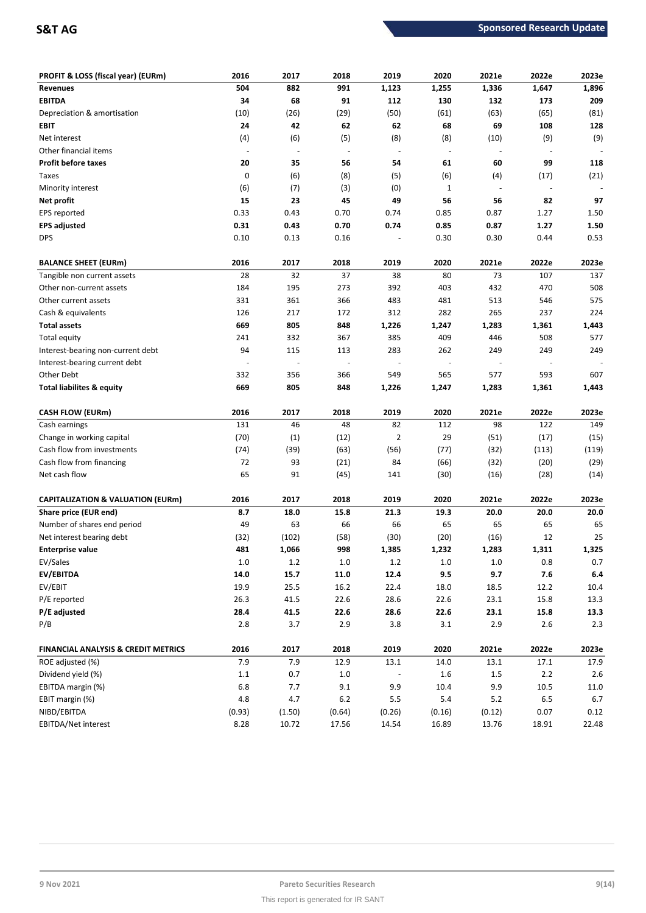| PROFIT & LOSS (fiscal year) (EURm)             | 2016    | 2017   | 2018                     | 2019                     | 2020        | 2021e  | 2022e | 2023e   |
|------------------------------------------------|---------|--------|--------------------------|--------------------------|-------------|--------|-------|---------|
| <b>Revenues</b>                                | 504     | 882    | 991                      | 1,123                    | 1,255       | 1,336  | 1,647 | 1,896   |
| <b>EBITDA</b>                                  | 34      | 68     | 91                       | 112                      | 130         | 132    | 173   | 209     |
| Depreciation & amortisation                    | (10)    | (26)   | (29)                     | (50)                     | (61)        | (63)   | (65)  | (81)    |
| EBIT                                           | 24      | 42     | 62                       | 62                       | 68          | 69     | 108   | 128     |
| Net interest                                   | (4)     | (6)    | (5)                      | (8)                      | (8)         | (10)   | (9)   | (9)     |
| Other financial items                          |         |        | $\overline{a}$           | ÷,                       |             |        |       |         |
| <b>Profit before taxes</b>                     | 20      | 35     | 56                       | 54                       | 61          | 60     | 99    | 118     |
| Taxes                                          | 0       | (6)    | (8)                      | (5)                      | (6)         | (4)    | (17)  | (21)    |
| Minority interest                              | (6)     | (7)    | (3)                      | (0)                      | $\mathbf 1$ |        |       |         |
| Net profit                                     | 15      | 23     | 45                       | 49                       | 56          | 56     | 82    | 97      |
| EPS reported                                   | 0.33    | 0.43   | 0.70                     | 0.74                     | 0.85        | 0.87   | 1.27  | 1.50    |
| <b>EPS adjusted</b>                            | 0.31    | 0.43   | 0.70                     | 0.74                     | 0.85        | 0.87   | 1.27  | 1.50    |
| <b>DPS</b>                                     | 0.10    | 0.13   | 0.16                     |                          | 0.30        | 0.30   | 0.44  | 0.53    |
| <b>BALANCE SHEET (EURm)</b>                    | 2016    | 2017   | 2018                     | 2019                     | 2020        | 2021e  | 2022e | 2023e   |
| Tangible non current assets                    | 28      | 32     | 37                       | 38                       | 80          | 73     | 107   | 137     |
| Other non-current assets                       | 184     | 195    | 273                      | 392                      | 403         | 432    | 470   | 508     |
| Other current assets                           | 331     | 361    | 366                      | 483                      | 481         | 513    | 546   | 575     |
| Cash & equivalents                             | 126     | 217    | 172                      | 312                      | 282         | 265    | 237   | 224     |
| <b>Total assets</b>                            | 669     | 805    | 848                      | 1,226                    | 1,247       | 1,283  | 1,361 | 1,443   |
| Total equity                                   | 241     | 332    | 367                      | 385                      | 409         | 446    | 508   | 577     |
| Interest-bearing non-current debt              | 94      | 115    | 113                      | 283                      | 262         | 249    | 249   | 249     |
| Interest-bearing current debt                  |         |        | $\overline{\phantom{m}}$ | $\overline{\phantom{a}}$ |             |        |       |         |
| Other Debt                                     | 332     | 356    | 366                      | 549                      | 565         | 577    | 593   | 607     |
| <b>Total liabilites &amp; equity</b>           | 669     | 805    | 848                      | 1,226                    | 1,247       | 1,283  | 1,361 | 1,443   |
| <b>CASH FLOW (EURm)</b>                        | 2016    | 2017   | 2018                     | 2019                     | 2020        | 2021e  | 2022e | 2023e   |
| Cash earnings                                  | 131     | 46     | 48                       | 82                       | 112         | 98     | 122   | 149     |
| Change in working capital                      | (70)    | (1)    | (12)                     | $\overline{2}$           | 29          | (51)   | (17)  | (15)    |
| Cash flow from investments                     | (74)    | (39)   | (63)                     | (56)                     | (77)        | (32)   | (113) | (119)   |
| Cash flow from financing                       | 72      | 93     | (21)                     | 84                       | (66)        | (32)   | (20)  | (29)    |
| Net cash flow                                  | 65      | 91     | (45)                     | 141                      | (30)        | (16)   | (28)  | (14)    |
|                                                |         |        |                          |                          |             |        |       |         |
| <b>CAPITALIZATION &amp; VALUATION (EURm)</b>   | 2016    | 2017   | 2018                     | 2019                     | 2020        | 2021e  | 2022e | 2023e   |
| Share price (EUR end)                          | 8.7     | 18.0   | 15.8                     | 21.3                     | 19.3        | 20.0   | 20.0  | 20.0    |
| Number of shares end period                    | 49      | 63     | 66                       | 66                       | 65          | 65     | 65    | 65      |
| Net interest bearing debt                      | (32)    | (102)  | (58)                     | (30)                     | (20)        | (16)   | 12    | 25      |
| <b>Enterprise value</b>                        | 481     | 1,066  | 998                      | 1,385                    | 1,232       | 1,283  | 1,311 | 1,325   |
| EV/Sales                                       | $1.0\,$ | 1.2    | $1.0\,$                  | 1.2                      | $1.0\,$     | 1.0    | 0.8   | 0.7     |
| EV/EBITDA                                      | 14.0    | 15.7   | 11.0                     | 12.4                     | 9.5         | 9.7    | 7.6   | $6.4\,$ |
| EV/EBIT                                        | 19.9    | 25.5   | 16.2                     | 22.4                     | 18.0        | 18.5   | 12.2  | 10.4    |
| P/E reported                                   | 26.3    | 41.5   | 22.6                     | 28.6                     | 22.6        | 23.1   | 15.8  | 13.3    |
| P/E adjusted                                   | 28.4    | 41.5   | 22.6                     | 28.6                     | 22.6        | 23.1   | 15.8  | 13.3    |
| P/B                                            | 2.8     | 3.7    | 2.9                      | 3.8                      | 3.1         | 2.9    | 2.6   | 2.3     |
| <b>FINANCIAL ANALYSIS &amp; CREDIT METRICS</b> | 2016    | 2017   | 2018                     | 2019                     | 2020        | 2021e  | 2022e | 2023e   |
| ROE adjusted (%)                               | 7.9     | 7.9    | 12.9                     | 13.1                     | 14.0        | 13.1   | 17.1  | 17.9    |
| Dividend yield (%)                             | $1.1\,$ | 0.7    | $1.0\,$                  |                          | 1.6         | 1.5    | 2.2   | 2.6     |
| EBITDA margin (%)                              | $6.8\,$ | 7.7    | 9.1                      | 9.9                      | 10.4        | 9.9    | 10.5  | 11.0    |
| EBIT margin (%)                                | 4.8     | 4.7    | $6.2\,$                  | 5.5                      | $5.4\,$     | 5.2    | 6.5   | $6.7\,$ |
| NIBD/EBITDA                                    | (0.93)  | (1.50) | (0.64)                   | (0.26)                   | (0.16)      | (0.12) | 0.07  | 0.12    |
| EBITDA/Net interest                            | 8.28    | 10.72  | 17.56                    | 14.54                    | 16.89       | 13.76  | 18.91 | 22.48   |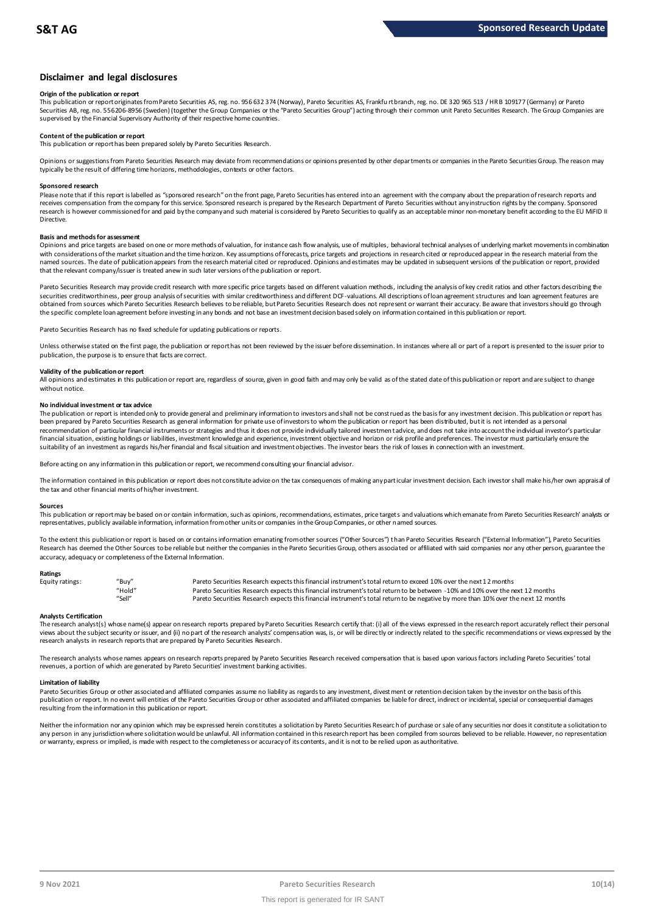### **Disclaimer and legal disclosures**

### **Origin of the publication or report**

This publication or report originates from Pareto Securities AS, reg. no. 956 632 374 (Norway), Pareto Securities AS, Frankfu rt branch, reg. no. DE 320 965 513 / HR B 109177 (Germany) or Pareto Securities AB, reg. no. 556206-8956 (Sweden) (together the Group Companies or the "Pareto Securities Group") acting through their common unit Pareto Securities Research. The Group Companies are supervised by the Financial Supervisory Authority of their respective home countries.

### **Content of the publication or report**

This publication or report has been prepared solely by Pareto Securities Research.

Opinions or suggestions from Pareto Securities Research may deviate from recommendations or opinions presented by other departments or companies in the Pareto Securities Group. The reason may typically be the result of differing time horizons, methodologies, contexts or other factors.

### **Sponsored research**

Please note that if this report is labelled as "sponsored research" on the front page, Pareto Securities has entered into an agreement with the company about the preparation of research reports and receives compensation from the company for this service. Sponsored research is prepared by the Research Department of Pareto Securities without any instruction rights by the company. Sponsored research is however commissioned for and paid by the company and such material is considered by Pareto Securities to qualify as an acceptable minor non-monetary benefit according to the EU MiFID II Directive.

### **Basis and methods for assessment**

Opinions and price targets are based on one or more methods of valuation, for instance cash flow analysis, use of multiples, behavioral technical analyses of underlying market movements in combination with considerations of the market situation and the time horizon. Key assumptions of forecasts, price targets and projections in research cited or reproduced appear in the research material from the named sources. The date of publication appears from the research material cited or reproduced. Opinions and estimates may be updated in subsequent versions of the publication or report, provided in subsequent versions of t that the relevant company/issuer is treated anew in such later versions of the publication or report.

Pareto Securities Research may provide credit research with more specific price targets based on different valuation methods, including the analysis of key credit ratios and other factors describing the securities creditworthiness, peer group analysis of securities with similar creditworthiness and different DCF-valuations. All descriptions of loan agreement structures and loan agreement features are obtained from sources which Pareto Securities Research believes to be reliable, but Pareto Securities Research does not represent or warrant their accuracy. Be aware that investors should go through the specific complete loan agreement before investing in any bonds and not base an investment decision based solely on information contained in this publication or report.

Pareto Securities Research has no fixed schedule for updating publications or reports.

Unless otherwise stated on the first page, the publication or report has not been reviewed by the issuer before dissemination. In instances where all or part of a report is presented to the issuer prior to publication, the purpose is to ensure that facts are correct.

### **Validity of the publication or report**

All opinions and estimates in this publication or report are, regardless of source, given in good faith and may only be valid as of the stated date of this publication or report and are subject to change without notice.

### **No individual investment or tax advice**

The publication or report is intended only to provide general and preliminary information to investors and shall not be construed as the basis for any investment decision. This publication or report has been prepared by Pareto Securities Research as general information for private use of investors to whom the publication or report has been distributed, but it is not intended as a personal recommendation of partiɑɪlar financial instruments or strategies and thus it does not provide individually tailored investmen tadvice, and does not take into account the individual investor's particular<br>financial situation suitability of an investment as regards his/her financial and fiscal situation and investment objectives. The investor bears the risk of losses in connection with an investment.

Before acting on any information in this publication or report, we recommend consulting your financial advisor.

The information contained in this publication or report does not constitute advice on the tax consequences of making any particular investment decision. Each investor shall make his/her own appraisal of the tax and other financial merits of his/her investment.

### **Sources**

This publication or report may be based on or contain information, such as opinions, recommendations, estimates, price targets and valuations which emanate from Pareto Securities Research' analysts or representatives, publicly available information, information from other units or companies in the Group Companies, or other named sources.

To the extent this publication or report is based on or contains information emanating from other sources "Other Sources") than Pareto Securities Research ("External Information"), Pareto Securities Research has deemed the Other Sources to be reliable but neither the companies in the Pareto Securities Group, others associated or affiliated with said companies nor any other person, guarantee the accuracy, adequacy or completeness of the External Information.

### **Ratings**

| Equity ratings: | "Bu√"  | Pareto Securities Research expects this financial instrument's total return to exceed 10% over the next 12 months                   |
|-----------------|--------|-------------------------------------------------------------------------------------------------------------------------------------|
|                 | "Hold" | Pareto Securities Research expects this financial instrument's total return to be between -10% and 10% over the next 12 months      |
|                 | "Sell" | Pareto Securities Research expects this financial instrument's total return to be negative by more than 10% over the next 12 months |

Analysts Certification<br>The research analyst(s) whose name(s) appear on research reports prepared by Pareto Securities Research certify that: (i) all of the views expressed in the research report accurately reflect their pe "Hold" Pareto Securities Research expects this financial instrument's total return to be between -1.0% and 10% over the next 12 months<br>"Sell" Pareto Securities Research expects this financial instrument's total return to b research analysts in research reports that are prepared by Pareto Securities Research.

The research analysts whose names appears on research reports prepared by Pareto Securities Research received compensation that is based upon various factors including Pareto Securities' total<br>revenues, a portion of which

### **Limitation of liability**

Pareto Securities Group or other associated and affiliated companies assume no liablity as regards to any investment, divestment or retention decision taken by the investor on the basis of this<br>publication or report. In no resulting from the information in this publication or report.

Neither the information nor any opinion which may be expressed herein constitutes a soligitation by Pareto Securities Research of purchase or sale of any securities nor does it constitute a soligitation to any person in any jurisdiction where solicitation would be unlawful. All information contained in this research report has been compiled from sources believed to be reliable. However, no representation or warranty, express or implied, is made with respect to the completeness or accuracy of its contents, and it is not to be relied upon as authoritative.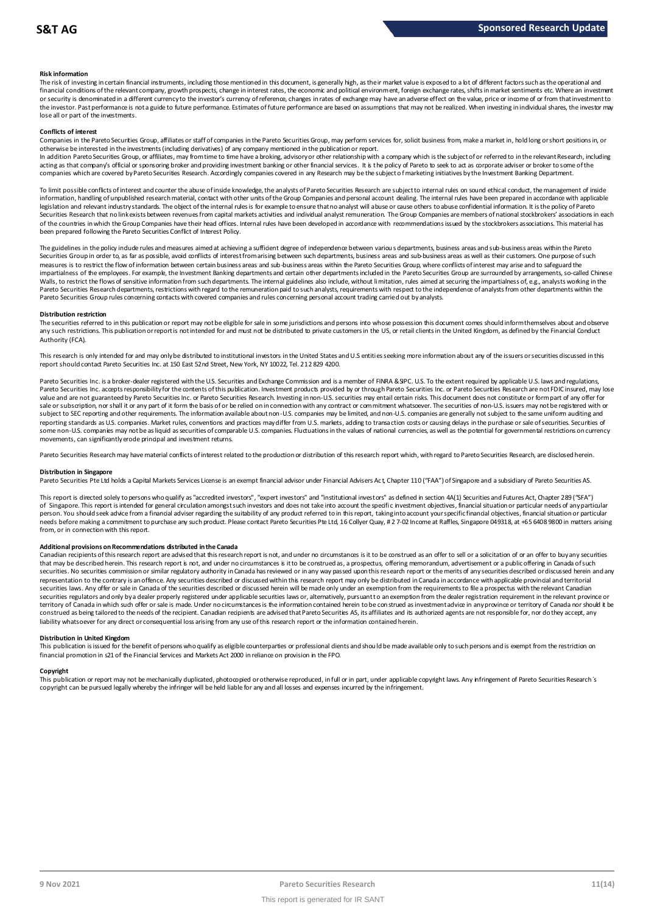### **Risk information**

The risk of investing in certain financial instruments, including those mentioned in this document, is generally high, as their market value is exposed to a lot of different factors such as the operational and financial conditions of the relevant company, growth prospects, change in interest rates, the economic and political environment, foreign exchange rates, shifts in market sentiments etc. Where an investment met.<br>or securit the investor. Past performance is not a guide to future performance. Estimates of future performance are based on assumptions that may not be realized. When investing in individual shares, the investor may lose all or part of the investments.

### **Conflicts of interest**

Companies in the Pareto Securities Group, affiliates or staff of companies in the Pareto Securities Group, may perform services for, solicit business from, make a market in, hold long or short positions in, or otherwise be interested in the investments (including derivatives) of any company mentioned in the publication or report.

In addition Pareto Securities Group, or affiliates, may from time to time have a broking, advisory or other relationship with a company which is the subject of or referred to in the relevant Research, including acting as that company's official or sponsoring broker and providing investment banking or other financial services. It is the policy of Pareto to seek to act as corporate adviser or broker to some of the<br>companies which a

To limit possible conflicts of interest and counter the abuse of inside knowledge, the analysts of Pareto Securities Research are subject to internal rules on sound ethical conduct, the management of inside<br>information, ha legislation and relevant industry standards. The object of the internal rules is for example to ensure that no analyst will abuse or cause others to abuse confidential information. It is the policy of Pareto Securities Research that no link exists between revenues from capital markets activities and individual analyst remuneration. The Group Companies are members of national stockbrokers' associations in each of the countries in which the Group Companies have their head offices. Internal rules have been developed in accordance with recommendations issued by the stockbrokers associations. This material has been prepared following the Pareto Securities Conflict of Interest Policy.

The guidelines in the policy indude rules and measures aimed at achieving a sufficient degree of independence between various departments, business areas and sub-business areas within the Pareto<br>Securities Group in order t measures is to restrict the flow of information between certain business areas and sub-business areas within the Pareto Securities Group, where conflicts of interest may arise and to safeguard the impartialness of the empl The guidelines in the policy indude rules and measures aimed at achieving a sufficient degree of independence between various departments, business areas and sub-business areas within the Pareto<br>Securities Group in order t Walls, to restrict the flows of sensitive information from such departments. The internal guidelines also include, without limitation, rules aimed at securing the impartialness of, e.g., analysts working in the<br>Pareto Secu Pareto Securities Group rules concerning contacts with covered companies and rules concerning personal account trading carried out by analysts.

### **Distribution restriction**

The securities referred to in this publication or report may not be eligible for sale in some jurisdictions and persons into whose possession this document comes should inform themselves about and observe Pareto Securities Group rules concerning contacts with covered companies and rules concerning personal account trading carried out by analysts.<br>Distribution restriction<br>The securities referred to in this publication or rep Authority (FCA).

This research is only intended for and may only be distributed to institutional investors in the United States and U.S entities seeking more information about any of the issuers or securities discussed in this report should contact Pareto Securities Inc. at 150 East 52nd Street, New York, NY 10022, Tel. 212 829 4200.

Pareto Securities Inc. is a broker-dealer registered with the U.S. Securities and Exchange Commission and is a member of FINRA & SIPC. U.S. To the extent required by applicable U.S. laws and regulations, Pareto Securities Inc. accepts responsibility for the contents of this publication. Investment products provided by or through Pareto Securities Inc. or Pareto Securities Research are not FDIC insured, may lose value and are not guaranteed by Pareto Securities Inc. or Pareto Securities Research. Investing in non-U.S. securities may entail certain risks. This document does not constitute or form part of any offer for sale or subscription, nor shall it or any part of it form the basis of or be relied on in connection with any contract or commitment whatsoever. The securities of non-U.S. issuers may not be registered with or subject to SEC reporting and other requirements. The information available about non-U.S. companies may be limited, and non-U.S. companies are generally not subject to the same uniform auditing and subject to the same unif reporting standards as U.S. companies. Market rules, conventions and practices may differ from U.S. markets, adding to transaction costs or causing delays in the purchase or sale of securities. Securities of some non-U.S. companies may not be as liquid as securities of comparable U.S. companies. Fluctuations in the values of national currencies, as well as the potential for governmental restrictions on currency movements, can significantly erode principal and investment returns.

Pareto Securities Research may have material conflicts of interest related to the production or distribution of this research report which, with regard to Pareto Securities Research, are disclosed herein.

### **Distribution in Singapore**

Pareto Securities Pte Ltd holds a Capital Markets Services License is an exempt financial advisor under Financial Advisers Act, Chapter 110 ("FAA") of Singapore and a subsidiary of Pareto Securities AS.

This report is directed solely to persons who qualify as "accredited investors", "expert investors" and "institutional investors" as defined in section 4A(1) Securities and Futures Act, Chapter 289 ("SFA") Distribution in Singapore<br>Pareto Securities Pte Ltd holds a Capital Markets Services License is an exempt financial advisor under Financial Advisers Act, Chapter 110 ("FAA") of Singapore and a subsidiary of Pareto Securiti person. You should seek advice from a financial adviser regarding the suitability of any product referred to in this report, taking into account your specific financial objectives, financial situation or particular needs before making a commitment to purchase any such product. Please contact Pareto Securities Pte Ltd, 16 Collyer Quay, # 2 7-02 Income at Raffles, Singapore 049318, at +65 6408 9800 in matters arising from, or in connection with this report.

Additional provisions on Recommendations distributed in the Canada<br>Canadian recipients of this research report are advised that this research report is not, and under no circumstances is it to be construed as an offer to s needs before making a commitment to purchase any such product. Please contact Pareto Securities Pte Ltd, 16 Collyer Quay, # 2 7-02 Income at Raffles, Singapore 049318, at +65 6408 9800 in matters arisin<br>from, or in connect from, or in connection with this report.<br>Additional provisions on Recommendations distributed in the Canada<br>Canadian recipients of this research report are advised that this research report is not, and under no circumstanc securities. No securities commission or similar regulatory authority in Canada has reviewed or in any way passed upon this research report or the merits of any securities described or discussed herein and any representation to the contrary is an offence. Any securities described or discussed within this research report may only be distributed in Canada in accordance with applicable provincial and territorial<br>securities laws. An securities regulators and only by a dealer properly registered under applicable securities laws or, alternatively, pursuant to an exemption from the dealer registration requirement in the relevant province or territory of Canada in which such offer or sale is made. Under no circumstances is the information contained herein to be construed as investment advice in any province or territory of Canada nor should it be construed as being tailored to the needs of the recipient. Canadian redpients are advised that Pareto Securities AS, its affiliates and its authorized agents are not responsible for, nor do they accept, any liability whatsoever for any direct or consequential loss arising from any use of this research report or the information contained herein.

### **Distribution in United Kingdom**

This publication is issued for the benefit of persons who qualify as eligible counterparties or professional dients and should be made available only to such persons and is exempt from the restriction on financial promotion in s21 of the Financial Services and Markets Act 2000 in reliance on provision in the FPO.

### **Copyright**

This publication or report may not be mechanically duplicated, photocopied or otherwise reproduced, in full or in part, under applicable copyright laws. Any infringement of Pareto Securities Research's copyright can be pursued legally whereby the infringer will be held liable for any and all losses and expenses incurred by the infringement.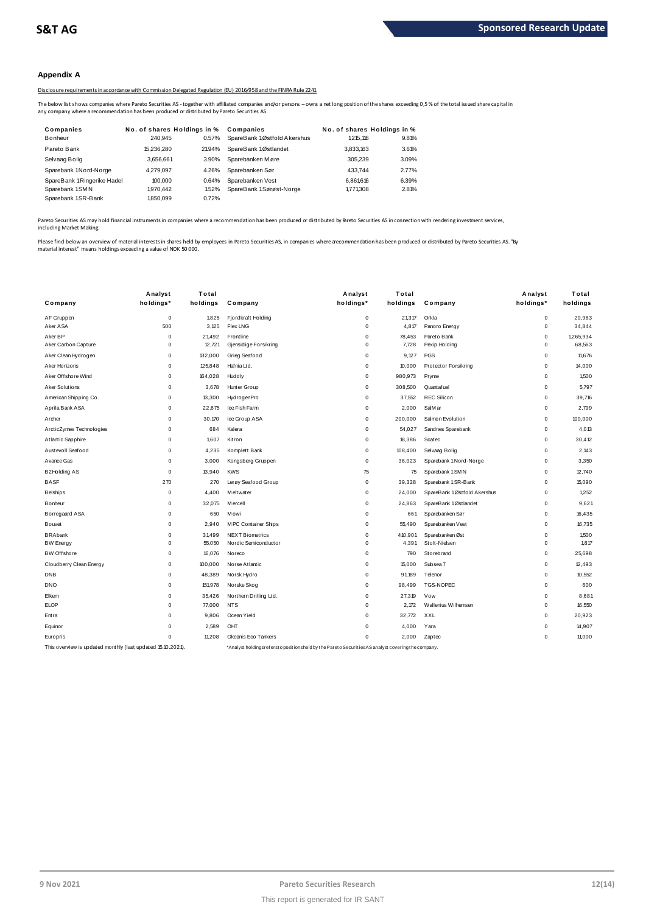### **Appendix A**

Disclosure requirements in accordance with Commission Delegated Regulation (EU) 2016/958 and the FINRA Rule 2241

The below list shows companies where Pareto Securities AS -together with affiliated companies and/or persons – owns a net long position of the shares exceeding 0,5 % of the total issued share capital in<br>any company where a

|                                                                                              |                             |       | Disclosure requirements in accordance with Commission Delegated Regulation (EU) 2016/958 and the FINRA Rule 2241                                                   |                             |       |
|----------------------------------------------------------------------------------------------|-----------------------------|-------|--------------------------------------------------------------------------------------------------------------------------------------------------------------------|-----------------------------|-------|
| any company where a recommendation has been produced or distributed by Pareto Securities AS. |                             |       | The below list shows companies where Pareto Securities AS - together with affiliated companies and/or persons - owns a net long position of the shares exceeding ( |                             |       |
| Companies                                                                                    | No. of shares Holdings in % |       | Companies                                                                                                                                                          | No. of shares Holdings in % |       |
| Bonheur                                                                                      | 240.945                     | 0.57% | SpareBank 1Østfold Akershus                                                                                                                                        | 1.215.116                   | 9.81% |
| Pareto Bank                                                                                  | 15.236.280                  | 2194% | SpareBank 1Østlandet                                                                                                                                               | 3.833.163                   | 3.61% |
| Selvaag Bolig                                                                                | 3.656.661                   | 3.90% | Sparebanken Møre                                                                                                                                                   | 305.239                     | 3.09% |
| Sparebank 1Nord-Norge                                                                        | 4.279.097                   | 4.26% | Sparebanken Sør                                                                                                                                                    | 433.744                     | 2.77% |
| SpareBank 1Ringerike Hadel                                                                   | 100,000                     | 0.64% | Sparebanken Vest                                                                                                                                                   | 6.861.616                   | 6.39% |
| Sparebank 1SMN                                                                               | 1.970.442                   | 1.52% | SpareBank 1Sørøst-Norge                                                                                                                                            | 1771308                     | 2.81% |
| Sparebank 1SR-Bank                                                                           | 1.850.099                   | 0.72% |                                                                                                                                                                    |                             |       |

Pareto Securities AS may hold financial instruments in companies where a recommendation has been produced or distributed by Pareto Securities AS in connection with rendering investment services, including Market Making.

Please find below an overview of material interests in shares held by employees in Pareto Securities AS, in companies where a ecommendation has been produced or distributed by Pareto Securities AS. "By<br>material interest" m

|                                                             | Analyst     | Total    |                        | Analyst                                                                                          | Total    |                             | Analyst     | Total     |
|-------------------------------------------------------------|-------------|----------|------------------------|--------------------------------------------------------------------------------------------------|----------|-----------------------------|-------------|-----------|
| Company                                                     | holdings*   | holdings | Company                | holdings*                                                                                        | holdings | Company                     | holdings*   | holdings  |
| AF Gruppen                                                  | $\mathbf 0$ | 1.825    | Fjordkraft Holding     | 0                                                                                                | 21.317   | Orkla                       | $\mathbf 0$ | 20.983    |
| Aker ASA                                                    | 500         | 3.125    | <b>Flex LNG</b>        | $\mathbf 0$                                                                                      | 4,817    | Panoro Energy               | $\mathbf 0$ | 34.844    |
| Aker BP                                                     | $\mathbf 0$ | 21,492   | Frontline              | 0                                                                                                | 78,453   | Pareto Bank                 | $\mathbf 0$ | 1,265,934 |
| Aker Carbon Capture                                         | $\mathbf 0$ | 12,721   | Gjensidige Forsikring  | 0                                                                                                | 7,728    | Pexip Holding               | 0           | 68,563    |
| Aker Clean Hydrogen                                         | 0           | 132,000  | Grieg Seafood          | 0                                                                                                | 9,127    | PGS                         | 0           | 11,676    |
| Aker Horizons                                               | $\mathbf 0$ | 125,848  | Hafnia Ltd.            | 0                                                                                                | 10,000   | Protector Forsikring        | $\mathbf 0$ | 14,000    |
| Aker Offshore Wind                                          | $\mathbf 0$ | 164,028  | Huddly                 | 0                                                                                                | 980,973  | Pryme                       | $\mathbf 0$ | 1,500     |
| Aker Solutions                                              | $\mathbf 0$ | 3,678    | Hunter Group           | 0                                                                                                | 308,500  | Quantafuel                  | $\mathbf 0$ | 5,797     |
| American Shipping Co.                                       | $\mathbf 0$ | 13,300   | HydrogenPro            | 0                                                                                                | 37,552   | <b>REC Silicon</b>          | 0           | 39,716    |
| Aprila Bank ASA                                             | $\mathbf 0$ | 22,675   | Ice Fish Farm          | 0                                                                                                | 2.000    | SalM ar                     | 0           | 2.799     |
| Archer                                                      | $\mathbf 0$ | 30,170   | ice Group ASA          | 0                                                                                                | 200,000  | Salmon Evolution            | $\mathbf 0$ | 100,000   |
| ArcticZymes Technologies                                    | $\mathsf 0$ | 684      | Kalera                 | 0                                                                                                | 54,027   | Sandnes Sparebank           | 0           | 4,013     |
| Atlantic Sapphire                                           | $\mathbf 0$ | 1,607    | Kitron                 | 0                                                                                                | 18,386   | Scatec                      | 0           | 30,412    |
| Austevoll Seafood                                           | $\mathbf 0$ | 4,235    | Komplett Bank          | 0                                                                                                | 108,400  | Selvaag Bolig               | 0           | 2.143     |
| Avance Gas                                                  | $\mathbf 0$ | 3,000    | Kongsberg Gruppen      | 0                                                                                                | 36,023   | Sparebank 1 Nord-Norge      | $\mathbf 0$ | 3.350     |
| B2Holding AS                                                | $\mathbf 0$ | 13,940   | <b>KWS</b>             | 75                                                                                               | 75       | Sparebank 1 SMN             | $\mathbf 0$ | 12,740    |
| <b>BASF</b>                                                 | 270         | 270      | Lerøy Seafood Group    | 0                                                                                                | 39,328   | Sparebank 1 SR-Bank         | 0           | 15,090    |
| <b>Belships</b>                                             | $\mathbf 0$ | 4,400    | M eltwater             | 0                                                                                                | 24,000   | SpareBank 1Østfold Akershus | $\mathbf 0$ | 1,252     |
| Bonheur                                                     | $\mathbf 0$ | 32,075   | M ercell               | 0                                                                                                | 24,863   | SpareBank 1Østlandet        | $\mathbf 0$ | 9,621     |
| Borregaard ASA                                              | $\mathbf 0$ | 650      | Mowi                   | 0                                                                                                | 661      | Sparebanken Sør             | 0           | 16,435    |
| Bouvet                                                      | $\mathbf 0$ | 2.940    | M PC Container Ships   | 0                                                                                                | 55,490   | Sparebanken Vest            | 0           | 16.735    |
| <b>BRAbank</b>                                              | $\mathbf 0$ | 31,499   | <b>NEXT Biometrics</b> | 0                                                                                                | 410,901  | Sparebanken Øst             | $\mathbf 0$ | 1.500     |
| <b>BW Energy</b>                                            | $\mathbf 0$ | 55,050   | Nordic Semiconductor   | 0                                                                                                | 4,391    | Stolt-Nielsen               | $\mathbf 0$ | 1,817     |
| <b>BW</b> Offshore                                          | $\mathbf 0$ | 16,076   | Noreco                 | 0                                                                                                | 790      | Storebrand                  | $\mathbf 0$ | 25,698    |
| Cloudberry Clean Energy                                     | $\mathbf 0$ | 100,000  | Norse Atlantic         | 0                                                                                                | 15,000   | Subsea 7                    | 0           | 12,493    |
| <b>DNB</b>                                                  | $\mathbf 0$ | 48,389   | Norsk Hydro            | 0                                                                                                | 91,189   | Telenor                     | 0           | 10.552    |
| <b>DNO</b>                                                  | $\mathbf 0$ | 151,978  | Norske Skog            | 0                                                                                                | 98,499   | <b>TGS-NOPEC</b>            | $\mathbf 0$ | 600       |
| Elkem                                                       | $\mathbf 0$ | 35,426   | Northern Drilling Ltd. | 0                                                                                                | 27,319   | Vow                         | $\mathbf 0$ | 8,681     |
| <b>ELOP</b>                                                 | $\mathbf 0$ | 77,000   | <b>NTS</b>             | 0                                                                                                | 2.172    | Wallenius Wilhemsen         | 0           | 16,550    |
| Entra                                                       | $\mathbf 0$ | 9,806    | Ocean Yield            | 0                                                                                                | 32,772   | XXL                         | $\mathbf 0$ | 20,923    |
| Equinor                                                     | $\mathbf 0$ | 2,589    | OHT                    | 0                                                                                                | 4,000    | Yara                        | 0           | 14,907    |
| Europris                                                    | $\mathbf 0$ | 11,208   | Okeanis Eco Tankers    | 0                                                                                                | 2,000    | Zaptec                      | $\mathbf 0$ | 11,000    |
| This overview is updated monthly (last updated 15.10.2021). |             |          |                        | *Analyst holdingsreferstopositionsheld by the Pareto Securities AS analyst covering the company. |          |                             |             |           |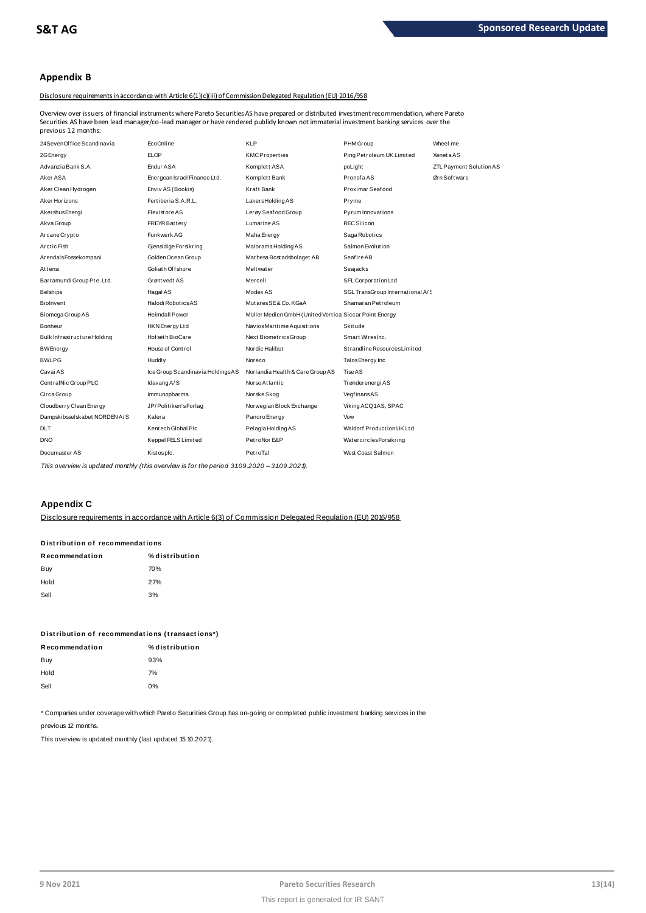### **Appendix B**

### Disclosure requirements in accordance with Article 6(1)(c)(iii) of Commission Delegated Regulation (EU) 2016/958

Overview over issuers of financial instruments where Pareto Securities AS have prepared or distributed investment recommendation, where Pareto previous 12 months:

| Securities AS have been lead manager/co-lead manager or have rendered publidy known not immaterial investment banking services over the<br>previous 12 months: |                                  |                                                        |                                  |                         |
|----------------------------------------------------------------------------------------------------------------------------------------------------------------|----------------------------------|--------------------------------------------------------|----------------------------------|-------------------------|
| 24SevenOffice Scandinavia                                                                                                                                      | EcoOnline                        | <b>KLP</b>                                             | PHM Group                        | Wheel.me                |
| 2G Energy                                                                                                                                                      | <b>ELOP</b>                      | <b>KMCProperties</b>                                   | Ping Petroleum UK Limited        | <b>XenetaAS</b>         |
| Advanzia Bank S.A.                                                                                                                                             | Endur ASA                        | Komplett ASA                                           | poLight                          | ZTL Payment Solution AS |
| Aker ASA                                                                                                                                                       | Energean Israel Finance Ltd.     | Komplett Bank                                          | PronofaAS                        | Ørn Software            |
| Aker Clean Hydrogen                                                                                                                                            | Enviv AS (Bookis)                | Kraft Bank                                             | Proximar Seafood                 |                         |
| Aker Horizons                                                                                                                                                  | Fertiberia S.A.R.L.              | Lakers Holding AS                                      | Pryme                            |                         |
| Akershus Energi                                                                                                                                                | <b>Flexistore AS</b>             | Lerøy Seaf ood Group                                   | Pyrum Innovations                |                         |
| Akva Group                                                                                                                                                     | <b>FREYR Battery</b>             | Lumarine AS                                            | <b>REC Silicon</b>               |                         |
| Arcane Crypto                                                                                                                                                  | Funkwerk AG                      | Maha Energy                                            | Saga Robotics                    |                         |
| Arctic Fish                                                                                                                                                    | Gjensidige Forsikring            | Malorama Holding AS                                    | Salmon Evolution                 |                         |
| ArendalsFossekompani                                                                                                                                           | Golden Ocean Group               | Mathesa Bost adsbolaget AB                             | Seafire AB                       |                         |
| Attensi                                                                                                                                                        | Goliath Offshore                 | Meltwater                                              | Seajacks                         |                         |
| Barramundi Group Pte. Ltd.                                                                                                                                     | Grønt vedt AS                    | Mercell                                                | SFL Corporation Ltd              |                         |
| Belships                                                                                                                                                       | Hagal AS                         | Modex AS                                               | SGL TransGroup International A/S |                         |
| <b>Biolnvent</b>                                                                                                                                               | Halodi Robotics AS               | MutaresSE& Co. KGaA                                    | Shamaran Petroleum               |                         |
| Biomega Group AS                                                                                                                                               | <b>Heimdall Power</b>            | Müller Medien GmbH (United Vertica Siccar Point Energy |                                  |                         |
| Bonheur                                                                                                                                                        | HKN Energy Ltd                   | NaviosMaritime Aquisitions                             | <b>Skitude</b>                   |                         |
| Bulk Infrastructure Holding                                                                                                                                    | Hof set h BioCare                | Next BiometricsGroup                                   | Smart WiresInc.                  |                         |
| <b>BWEnergy</b>                                                                                                                                                | House of Control                 | Nordic Halibut                                         | Strandline Resources Limited     |                         |
| <b>BWLPG</b>                                                                                                                                                   | Huddly                           | Noreco                                                 | Talos Energy Inc                 |                         |
| Cavai AS                                                                                                                                                       | Ice Group Scandinavia HoldingsAS | Norlandia Health & Care Group AS                       | Tise AS                          |                         |
| CentralNic Group PLC                                                                                                                                           | Idavang A/S                      | Norse Atlantic                                         | Trønderenergi AS                 |                         |
| Circa Group                                                                                                                                                    | Immunopharma                     | Norske Skog                                            | VegfinansAS                      |                         |
| Cloudberry Clean Energy                                                                                                                                        | JP/Politiken'sForlag             | Norwegian Block Exchange                               | Viking ACQ1AS, SPAC              |                         |
| Dampskibsselskabet NORDEN A/S                                                                                                                                  | Kalera                           | Panoro Energy                                          | Vow                              |                         |
| <b>DLT</b>                                                                                                                                                     | Kentech Global Plc               | Pelagia Holding AS                                     | Waldorf Production UK Ltd        |                         |
| <b>DNO</b>                                                                                                                                                     | Keppel FELS Limited              | PetroNor E&P                                           | WatercirclesForsikring           |                         |
| Documaster AS                                                                                                                                                  | Kistospic.                       | PetroTal                                               | West Coast Salmon                |                         |
|                                                                                                                                                                |                                  |                                                        |                                  |                         |

*This overview is updated monthly (this overview is for the period 3 1.0 9.2020 – 3 1.0 9.2021).*

### **Appendix C**

Disclosure requirements in accordance with Article 6(3) of Commission Delegated Regulation (EU) 2016/958

# Disclosure requirements in accordar<br>Distribution of recommendati<mark>ons</mark><br>Distribution of recommendations

| Distribution of recommendations |                |  |  |  |
|---------------------------------|----------------|--|--|--|
| Recommendation                  | % distribution |  |  |  |
| Buy                             | 70%            |  |  |  |
| Hold                            | 27%            |  |  |  |
| Sell                            | 3%             |  |  |  |
|                                 |                |  |  |  |

| Distribution of recommendations (transactions*) |                |  |  |  |
|-------------------------------------------------|----------------|--|--|--|
| Recommendation                                  | % distribution |  |  |  |
| Buy                                             | 93%            |  |  |  |

| Buy  | 93% |
|------|-----|
| Hold | 7%  |
| Sell | 0%  |
|      |     |

\* Companies under coverage with which Pareto Securities Group has on-going or completed public investment banking services in the

previous 12 months.

This overview is updated monthly (last updated 15.10.2021).